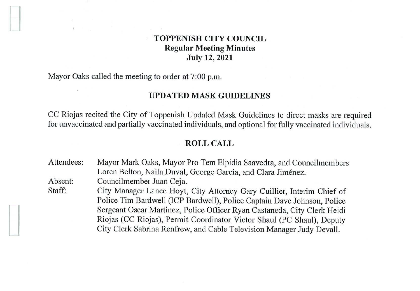# **TOPPENISH CITY COUNCIL Regular Meeting Minutes July 12, 2021**

Mayor Oaks called the meeting to order at 7:00 p.m.

#### **UPDATED MASK GUIDELINES**

CC Riojas recited the City of Toppenish Updated Mask Guidelines to direct masks are required for unvaccinated and partially vaccinated individuals, and optional for fully vaccinated individuals.

## **ROLL CALL**

Attendees: Absent: Staff: Mayor Mark Oaks, Mayor Pro Tem Elpidia Saavedra, and Councilmembers Loren Belton, Naila Duval, George Garcia, and Clara Jiménez. Councilmember Juan Ceja. City Manager Lance Hoyt, City Attorney Gary Cuillier, Interim Chief of

Police Tim Bardwell (ICP Bardwell), Police Captain Dave Johnson, Police Sergeant Oscar Martinez, Police Officer Ryan Castaneda, City Clerk Heidi Riojas (CC Riojas), Permit Coordinator Victor Shaul (PC Shaul), Deputy City Clerk Sabrina Renfrew, and Cable Television Manager Judy Devall.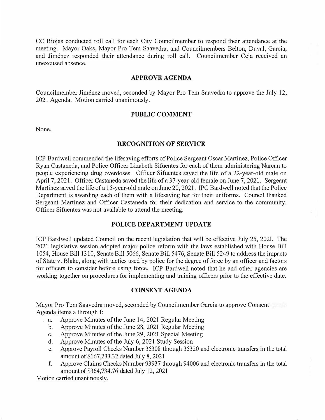CC Riojas conducted roll call for each City Councilmember to respond their attendance at the meeting. Mayor Oaks, Mayor Pro Tem Saavedra, and Councilmembers Belton, Duval, Garcia, and Jiménez responded their attendance during roll call. Councilmember Ceja received an unexcused absence.

### **APPROVE AGENDA**

Councilmember Jiménez moved, seconded by Mayor Pro Tem Saavedra to approve the July 12, 2021 Agenda. Motion carried unanimously.

## **PUBLIC COMMENT**

None.

#### **RECOGNITION OF SERVICE**

ICP Bardwell conunended the lifesaving efforts of Police Sergeant Oscar Martinez, Police Officer Ryan Castaneda, and Police Officer Lizabeth Sifuentes for each of them administering Narcan to people experiencing drug overdoses. Officer Sifuentes saved the life of a 22-year-old male on April 7, 2021. Officer Castaneda saved the life of a 37-year-old female on June 7, 2021. Sergeant Martinez saved the life of a 15-year-old male on June 20, 2021. IPC Bardwell noted that the Police Department is awarding each of them with a lifesaving bar for their uniforms. Council thanked Sergeant Martinez and Officer Castaneda for their dedication and service to the community. Officer Sifuentes was not available to attend the meeting.

## **POLICE DEPARTMENT UPDATE**

ICP Bardwell updated Council on the recent legislation that will be effective July 25, 2021. The 2021 legislative session adopted major police reform with the laws established with House Bill 1054, House Bill 1310, Senate Bill 5066, Senate Bill 5476, Senate Bill 5249 to address the impacts of State v. Blake, along with tactics used by police for the degree of force by an officer and factors for officers to consider before using force. ICP Bardwell noted that he and other agencies are working together on procedures for implementing and training officers prior to the effective date.

### **CONSENT AGENDA**

Mayor Pro Tem Saavedra moved, seconded by Councilmember Garcia to approve Consent Agenda items a through f:

- a. Approve Minutes of the June 14, 2021 Regular Meeting
	- b. Approve Minutes of the June 28, 2021 Regular Meeting
	- c. Approve Minutes of the June 29, 2021 Special Meeting
	- d. Approve Minutes of the July 6, 2021 Study Session
	- e. Approve Payroll Checks Number 35308 through 35320 and electronic transfers in the total amount of \$167,233.32 dated July 8, 2021
	- f. Approve Claims Checks Number 93937 through 94006 and electronic transfers in the total amount of \$364,734.76 dated July 12, 2021

Motion carried unanimously.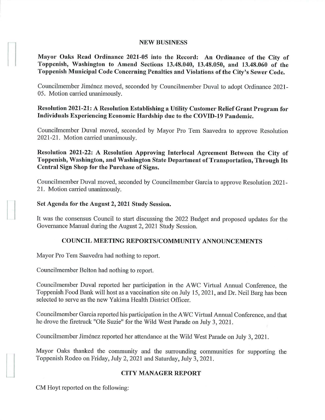### **NEW BUSINESS**

**Mayor Oaks Read Ordinance 2021-05 into the Record: An Ordinance of the City of Toppenish, Washington to Amend Sections 13.48.040, 13.48.050, and 13.48.060 of the Toppenish Municipal Code Concerning Penalties and Violations of the City's Sewer Code.** 

Councilmember Jimenez moved, seconded by Councilmember Duval to adopt Ordinance 2021- 05. Motion carried unanimously.

# **Resolution 2021-21: A Resolution Establishing a Utility Customer Relief Grant Program for Individuals Experiencing Economic Hardship due to the COVID-19 Pandemic.**

Councilmember Duval moved, seconded by Mayor Pro Tern Saavedra to approve Resolution 2021-21. Motion carried unanimously.

**Resolution 2021-22: A Resolution Approving Interlocal Agreement Between the City of Toppenish, Washington, and Washington State Department of Transportation, Through Its Central Sign Shop for the Purchase of Signs.** 

Councilmember Duval moved, seconded by Councilmember Garcia to approve Resolution 2021- 21. Motion carried unanimously.

## **Set Agenda for the August 2, 2021 Study Session.**

It was the consensus Council to start discussing the 2022 Budget and proposed updates for the Governance Manual during the August 2, 2021 Study Session.

# **COUNCIL MEETING REPORTS/COMMUNITY ANNOUNCEMENTS**

Mayor Pro Tem Saavedra had nothing to report.

Councilmember Belton had nothing to report.

Councilmember Duval reported her participation in the A WC Virtual Annual Conference, the Toppenish Food Bank will host as a vaccination site on July 15, 2021, and Dr. Neil Barg has been selected to serve as the new Yakima Health District Officer.

Councilmember Garcia reported his participation in the A WC Virtual Annual Conference, and that he drove the firetruck "Ole Suzie" for the Wild West Parade on July 3, 2021.

Councilmember Jimenez reported her attendance at the Wild West Parade on July 3, 2021.

Mayor Oaks thanked the community and the surrounding communities for supporting the Toppenish Rodeo on Friday, July 2, 2021 and Saturday, July 3, 2021.

# **CITY MANAGER REPORT**

CM Hoyt reported on the following:

 $\vert$